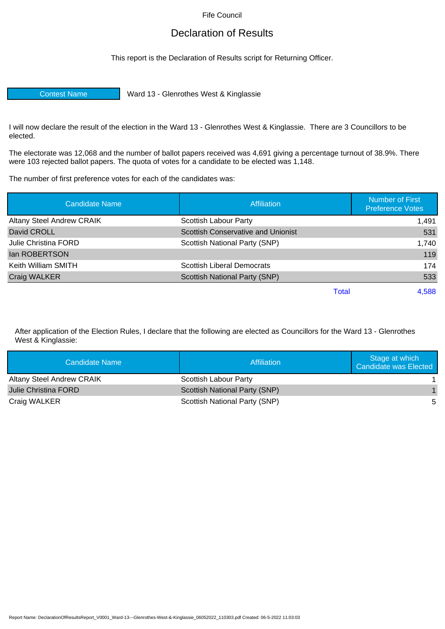Fife Council

## Declaration of Results

This report is the Declaration of Results script for Returning Officer.

Contest Name Ward 13 - Glenrothes West & Kinglassie

I will now declare the result of the election in the Ward 13 - Glenrothes West & Kinglassie. There are 3 Councillors to be elected.

The electorate was 12,068 and the number of ballot papers received was 4,691 giving a percentage turnout of 38.9%. There were 103 rejected ballot papers. The quota of votes for a candidate to be elected was 1,148.

The number of first preference votes for each of the candidates was:

| <b>Candidate Name</b>            | <b>Affiliation</b>                        | <b>Number of First</b><br><b>Preference Votes</b> |
|----------------------------------|-------------------------------------------|---------------------------------------------------|
| <b>Altany Steel Andrew CRAIK</b> | Scottish Labour Party                     | 1.491                                             |
| David CROLL                      | <b>Scottish Conservative and Unionist</b> | 531                                               |
| Julie Christina FORD             | Scottish National Party (SNP)             | 1,740                                             |
| lan ROBERTSON                    |                                           | 119                                               |
| Keith William SMITH              | <b>Scottish Liberal Democrats</b>         | 174                                               |
| Craig WALKER                     | Scottish National Party (SNP)             | 533                                               |
|                                  | Total                                     | 4,588                                             |

After application of the Election Rules, I declare that the following are elected as Councillors for the Ward 13 - Glenrothes West & Kinglassie:

| Candidate Name                   | Affiliation                   | Stage at which<br><b>Candidate was Elected</b> |
|----------------------------------|-------------------------------|------------------------------------------------|
| <b>Altany Steel Andrew CRAIK</b> | Scottish Labour Party         |                                                |
| <b>Julie Christina FORD</b>      | Scottish National Party (SNP) |                                                |
| Craig WALKER                     | Scottish National Party (SNP) | -5                                             |